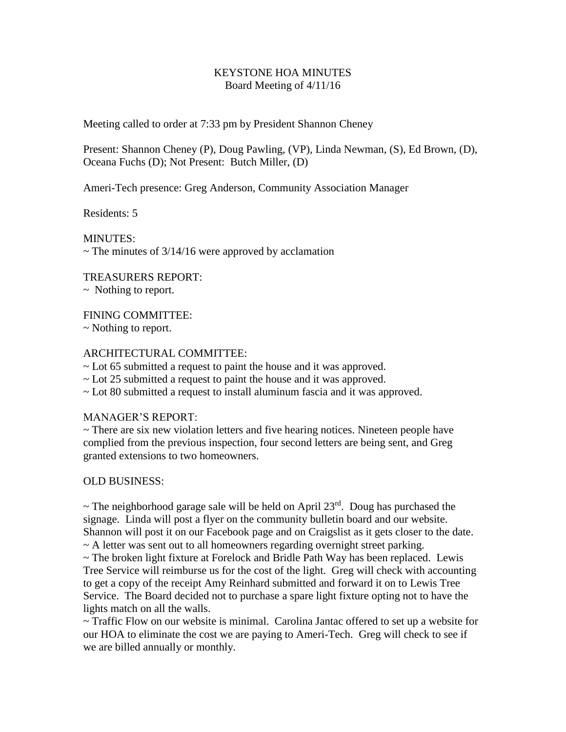## KEYSTONE HOA MINUTES Board Meeting of 4/11/16

Meeting called to order at 7:33 pm by President Shannon Cheney

Present: Shannon Cheney (P), Doug Pawling, (VP), Linda Newman, (S), Ed Brown, (D), Oceana Fuchs (D); Not Present: Butch Miller, (D)

Ameri-Tech presence: Greg Anderson, Community Association Manager

Residents: 5

MINUTES:  $\sim$  The minutes of 3/14/16 were approved by acclamation

TREASURERS REPORT:

~ Nothing to report.

FINING COMMITTEE:

~ Nothing to report.

## ARCHITECTURAL COMMITTEE:

~ Lot 65 submitted a request to paint the house and it was approved.

~ Lot 25 submitted a request to paint the house and it was approved.

~ Lot 80 submitted a request to install aluminum fascia and it was approved.

## MANAGER'S REPORT:

 $\sim$  There are six new violation letters and five hearing notices. Nineteen people have complied from the previous inspection, four second letters are being sent, and Greg granted extensions to two homeowners.

## OLD BUSINESS:

 $\sim$  The neighborhood garage sale will be held on April 23<sup>rd</sup>. Doug has purchased the signage. Linda will post a flyer on the community bulletin board and our website. Shannon will post it on our Facebook page and on Craigslist as it gets closer to the date. ~ A letter was sent out to all homeowners regarding overnight street parking.

 $\sim$  The broken light fixture at Forelock and Bridle Path Way has been replaced. Lewis Tree Service will reimburse us for the cost of the light. Greg will check with accounting to get a copy of the receipt Amy Reinhard submitted and forward it on to Lewis Tree Service. The Board decided not to purchase a spare light fixture opting not to have the lights match on all the walls.

~ Traffic Flow on our website is minimal. Carolina Jantac offered to set up a website for our HOA to eliminate the cost we are paying to Ameri-Tech. Greg will check to see if we are billed annually or monthly.